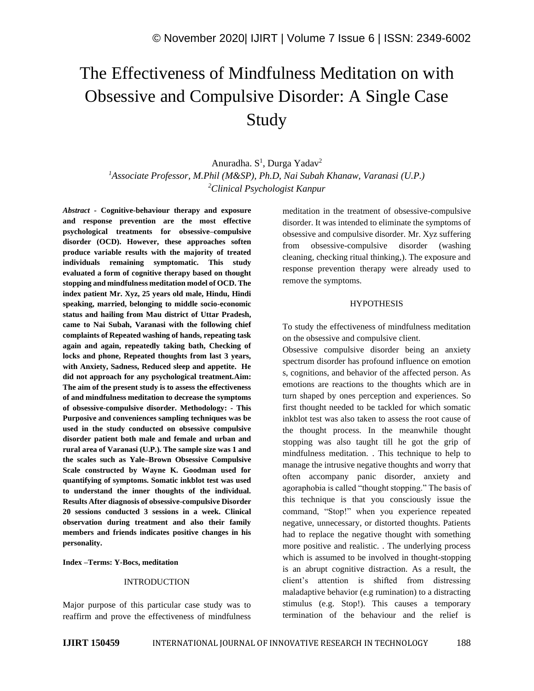# The Effectiveness of Mindfulness Meditation on with Obsessive and Compulsive Disorder: A Single Case Study

Anuradha. S<sup>1</sup>, Durga Yadav<sup>2</sup> *<sup>1</sup>Associate Professor, M.Phil (M&SP), Ph.D, Nai Subah Khanaw, Varanasi (U.P.) <sup>2</sup>Clinical Psychologist Kanpur*

*Abstract -* **Cognitive-behaviour therapy and exposure and response prevention are the most effective psychological treatments for obsessive–compulsive disorder (OCD). However, these approaches soften produce variable results with the majority of treated individuals remaining symptomatic. This study evaluated a form of cognitive therapy based on thought stopping and mindfulness meditation model of OCD. The index patient Mr. Xyz, 25 years old male, Hindu, Hindi speaking, married, belonging to middle socio-economic status and hailing from Mau district of Uttar Pradesh, came to Nai Subah, Varanasi with the following chief complaints of Repeated washing of hands, repeating task again and again, repeatedly taking bath, Checking of locks and phone, Repeated thoughts from last 3 years, with Anxiety, Sadness, Reduced sleep and appetite. He did not approach for any psychological treatment.Aim: The aim of the present study is to assess the effectiveness of and mindfulness meditation to decrease the symptoms of obsessive-compulsive disorder. Methodology: - This Purposive and conveniences sampling techniques was be used in the study conducted on obsessive compulsive disorder patient both male and female and urban and rural area of Varanasi (U.P.). The sample size was 1 and the scales such as Yale–Brown Obsessive Compulsive Scale constructed by Wayne K. Goodman used for quantifying of symptoms. Somatic inkblot test was used to understand the inner thoughts of the individual. Results After diagnosis of obsessive-compulsive Disorder 20 sessions conducted 3 sessions in a week. Clinical observation during treatment and also their family members and friends indicates positive changes in his personality.** 

**Index –Terms: Y-Bocs, meditation**

#### **INTRODUCTION**

Major purpose of this particular case study was to reaffirm and prove the effectiveness of mindfulness meditation in the treatment of obsessive-compulsive disorder. It was intended to eliminate the symptoms of obsessive and compulsive disorder. Mr. Xyz suffering from obsessive-compulsive disorder (washing cleaning, checking ritual thinking,). The exposure and response prevention therapy were already used to remove the symptoms.

## **HYPOTHESIS**

To study the effectiveness of mindfulness meditation on the obsessive and compulsive client.

Obsessive compulsive disorder being an anxiety spectrum disorder has profound influence on emotion s, cognitions, and behavior of the affected person. As emotions are reactions to the thoughts which are in turn shaped by ones perception and experiences. So first thought needed to be tackled for which somatic inkblot test was also taken to assess the root cause of the thought process. In the meanwhile thought stopping was also taught till he got the grip of mindfulness meditation. . This technique to help to manage the intrusive negative thoughts and worry that often accompany panic disorder, anxiety and agoraphobia is called "thought stopping." The basis of this technique is that you consciously issue the command, "Stop!" when you experience repeated negative, unnecessary, or distorted thoughts. Patients had to replace the negative thought with something more positive and realistic. . The underlying process which is assumed to be involved in thought-stopping is an abrupt cognitive distraction. As a result, the client's attention is shifted from distressing maladaptive behavior (e.g rumination) to a distracting stimulus (e.g. Stop!). This causes a temporary termination of the behaviour and the relief is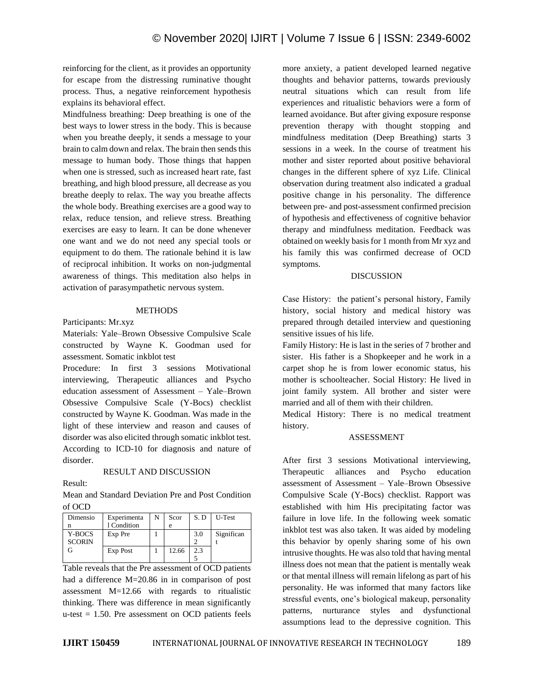reinforcing for the client, as it provides an opportunity for escape from the distressing ruminative thought process. Thus, a negative reinforcement hypothesis explains its behavioral effect.

Mindfulness breathing: Deep breathing is one of the best ways to lower stress in the body. This is because when you breathe deeply, it sends a message to your brain to calm down and relax. The brain then sends this message to human body. Those things that happen when one is stressed, such as increased heart rate, fast breathing, and high blood pressure, all decrease as you breathe deeply to relax. The way you breathe affects the whole body. Breathing exercises are a good way to relax, reduce tension, and relieve stress. Breathing exercises are easy to learn. It can be done whenever one want and we do not need any special tools or equipment to do them. The rationale behind it is law of reciprocal inhibition. It works on non-judgmental awareness of things. This meditation also helps in activation of parasympathetic nervous system.

#### **METHODS**

Participants: Mr.xyz

Materials: Yale–Brown Obsessive Compulsive Scale constructed by Wayne K. Goodman used for assessment. Somatic inkblot test

Procedure: In first 3 sessions Motivational interviewing, Therapeutic alliances and Psycho education assessment of Assessment – Yale–Brown Obsessive Compulsive Scale (Y-Bocs) checklist constructed by Wayne K. Goodman. Was made in the light of these interview and reason and causes of disorder was also elicited through somatic inkblot test. According to ICD-10 for diagnosis and nature of disorder.

#### RESULT AND DISCUSSION

Result:

Mean and Standard Deviation Pre and Post Condition of OCD

| Dimensio      | Experimenta | N | Scor  | S.D | U-Test     |
|---------------|-------------|---|-------|-----|------------|
| n             | 1 Condition |   |       |     |            |
| Y-BOCS        | Exp Pre     |   |       | 3.0 | Significan |
| <b>SCORIN</b> |             |   |       |     |            |
|               | Exp Post    |   | 12.66 | 2.3 |            |
|               |             |   |       |     |            |

Table reveals that the Pre assessment of OCD patients had a difference M=20.86 in in comparison of post assessment M=12.66 with regards to ritualistic thinking. There was difference in mean significantly u-test = 1.50. Pre assessment on OCD patients feels more anxiety, a patient developed learned negative thoughts and behavior patterns, towards previously neutral situations which can result from life experiences and ritualistic behaviors were a form of learned avoidance. But after giving exposure response prevention therapy with thought stopping and mindfulness meditation (Deep Breathing) starts 3 sessions in a week. In the course of treatment his mother and sister reported about positive behavioral changes in the different sphere of xyz Life. Clinical observation during treatment also indicated a gradual positive change in his personality. The difference between pre- and post-assessment confirmed precision of hypothesis and effectiveness of cognitive behavior therapy and mindfulness meditation. Feedback was obtained on weekly basis for 1 month from Mr xyz and his family this was confirmed decrease of OCD symptoms.

#### DISCUSSION

Case History: the patient's personal history, Family history, social history and medical history was prepared through detailed interview and questioning sensitive issues of his life.

Family History: He is last in the series of 7 brother and sister. His father is a Shopkeeper and he work in a carpet shop he is from lower economic status, his mother is schoolteacher. Social History: He lived in joint family system. All brother and sister were married and all of them with their children.

Medical History: There is no medical treatment history.

#### ASSESSMENT

After first 3 sessions Motivational interviewing, Therapeutic alliances and Psycho education assessment of Assessment – Yale–Brown Obsessive Compulsive Scale (Y-Bocs) checklist. Rapport was established with him His precipitating factor was failure in love life. In the following week somatic inkblot test was also taken. It was aided by modeling this behavior by openly sharing some of his own intrusive thoughts. He was also told that having mental illness does not mean that the patient is mentally weak or that mental illness will remain lifelong as part of his personality. He was informed that many factors like stressful events, one's biological makeup, personality patterns, nurturance styles and dysfunctional assumptions lead to the depressive cognition. This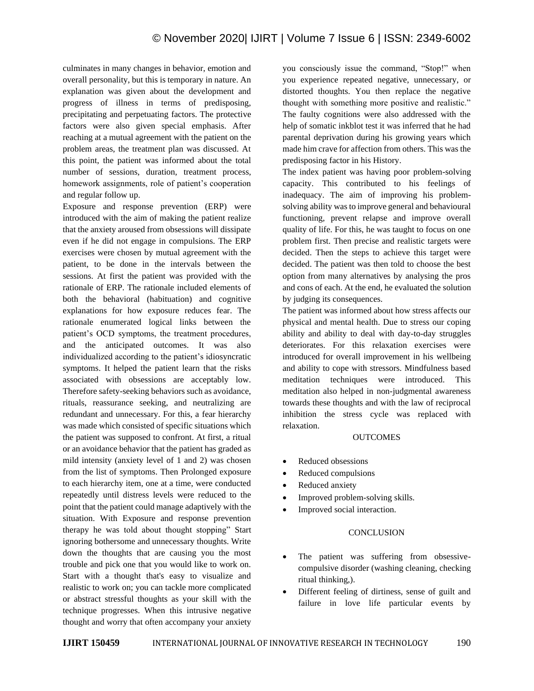culminates in many changes in behavior, emotion and overall personality, but this is temporary in nature. An explanation was given about the development and progress of illness in terms of predisposing, precipitating and perpetuating factors. The protective factors were also given special emphasis. After reaching at a mutual agreement with the patient on the problem areas, the treatment plan was discussed. At this point, the patient was informed about the total number of sessions, duration, treatment process, homework assignments, role of patient's cooperation and regular follow up.

Exposure and response prevention (ERP) were introduced with the aim of making the patient realize that the anxiety aroused from obsessions will dissipate even if he did not engage in compulsions. The ERP exercises were chosen by mutual agreement with the patient, to be done in the intervals between the sessions. At first the patient was provided with the rationale of ERP. The rationale included elements of both the behavioral (habituation) and cognitive explanations for how exposure reduces fear. The rationale enumerated logical links between the patient's OCD symptoms, the treatment procedures, and the anticipated outcomes. It was also individualized according to the patient's idiosyncratic symptoms. It helped the patient learn that the risks associated with obsessions are acceptably low. Therefore safety-seeking behaviors such as avoidance, rituals, reassurance seeking, and neutralizing are redundant and unnecessary. For this, a fear hierarchy was made which consisted of specific situations which the patient was supposed to confront. At first, a ritual or an avoidance behavior that the patient has graded as mild intensity (anxiety level of 1 and 2) was chosen from the list of symptoms. Then Prolonged exposure to each hierarchy item, one at a time, were conducted repeatedly until distress levels were reduced to the point that the patient could manage adaptively with the situation. With Exposure and response prevention therapy he was told about thought stopping" Start ignoring bothersome and unnecessary thoughts. Write down the thoughts that are causing you the most trouble and pick one that you would like to work on. Start with a thought that's easy to visualize and realistic to work on; you can tackle more complicated or abstract stressful thoughts as your skill with the technique progresses. When this intrusive negative thought and worry that often accompany your anxiety

you consciously issue the command, "Stop!" when you experience repeated negative, unnecessary, or distorted thoughts. You then replace the negative thought with something more positive and realistic." The faulty cognitions were also addressed with the help of somatic inkblot test it was inferred that he had parental deprivation during his growing years which made him crave for affection from others. This was the predisposing factor in his History.

The index patient was having poor problem-solving capacity. This contributed to his feelings of inadequacy. The aim of improving his problemsolving ability was to improve general and behavioural functioning, prevent relapse and improve overall quality of life. For this, he was taught to focus on one problem first. Then precise and realistic targets were decided. Then the steps to achieve this target were decided. The patient was then told to choose the best option from many alternatives by analysing the pros and cons of each. At the end, he evaluated the solution by judging its consequences.

The patient was informed about how stress affects our physical and mental health. Due to stress our coping ability and ability to deal with day-to-day struggles deteriorates. For this relaxation exercises were introduced for overall improvement in his wellbeing and ability to cope with stressors. Mindfulness based meditation techniques were introduced. This meditation also helped in non-judgmental awareness towards these thoughts and with the law of reciprocal inhibition the stress cycle was replaced with relaxation.

## **OUTCOMES**

- Reduced obsessions
- Reduced compulsions
- Reduced anxiety
- Improved problem-solving skills.
- Improved social interaction.

#### **CONCLUSION**

- The patient was suffering from obsessivecompulsive disorder (washing cleaning, checking ritual thinking,).
- Different feeling of dirtiness, sense of guilt and failure in love life particular events by